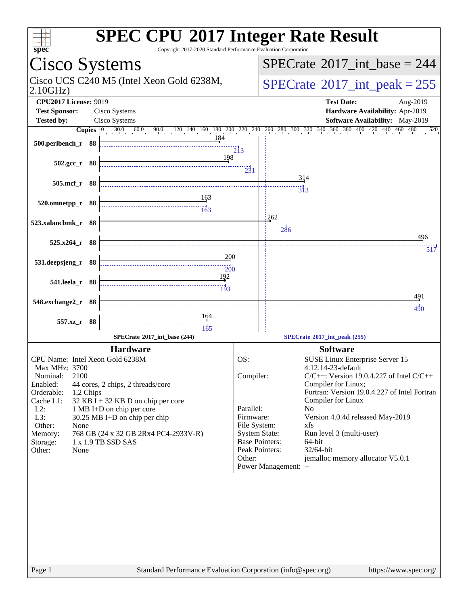| spec <sup>®</sup>                                                                                                                                                                                                                                                                                                                                                                                                                | <b>SPEC CPU®2017 Integer Rate Result</b><br>Copyright 2017-2020 Standard Performance Evaluation Corporation                                                                                                                                                                                                                                                                                                                                                                                                                                      |
|----------------------------------------------------------------------------------------------------------------------------------------------------------------------------------------------------------------------------------------------------------------------------------------------------------------------------------------------------------------------------------------------------------------------------------|--------------------------------------------------------------------------------------------------------------------------------------------------------------------------------------------------------------------------------------------------------------------------------------------------------------------------------------------------------------------------------------------------------------------------------------------------------------------------------------------------------------------------------------------------|
| Cisco Systems                                                                                                                                                                                                                                                                                                                                                                                                                    | $SPECrate^{\circ}2017\_int\_base = 244$                                                                                                                                                                                                                                                                                                                                                                                                                                                                                                          |
| Cisco UCS C240 M5 (Intel Xeon Gold 6238M,<br>2.10GHz                                                                                                                                                                                                                                                                                                                                                                             | $SPECrate^{\circ}2017\_int\_peak = 255$                                                                                                                                                                                                                                                                                                                                                                                                                                                                                                          |
| <b>CPU2017 License: 9019</b><br><b>Test Sponsor:</b><br>Cisco Systems<br><b>Tested by:</b><br>Cisco Systems                                                                                                                                                                                                                                                                                                                      | <b>Test Date:</b><br>Aug-2019<br>Hardware Availability: Apr-2019<br>Software Availability: May-2019<br><b>Copies</b> 0 30.0 60.0 90.0 120 140 160 180 200 220 240 260 280 300 320 340 360 380 400 420 440 460 480<br>520                                                                                                                                                                                                                                                                                                                         |
| 184<br>500.perlbench_r 88<br>198                                                                                                                                                                                                                                                                                                                                                                                                 | $\overline{2}$ <sup>1</sup> 3                                                                                                                                                                                                                                                                                                                                                                                                                                                                                                                    |
| $502.\text{gcc r}$ 88<br>505.mcf_r 88                                                                                                                                                                                                                                                                                                                                                                                            | $\frac{1}{2}31$<br>314                                                                                                                                                                                                                                                                                                                                                                                                                                                                                                                           |
| <u> 163</u><br>520.omnetpp_r 88<br>$\frac{11}{163}$                                                                                                                                                                                                                                                                                                                                                                              | $\frac{1}{313}$<br>1262                                                                                                                                                                                                                                                                                                                                                                                                                                                                                                                          |
| 523.xalancbmk_r 88<br>$525.x264$ r 88                                                                                                                                                                                                                                                                                                                                                                                            | 286<br>496<br>517                                                                                                                                                                                                                                                                                                                                                                                                                                                                                                                                |
| 200<br>531.deepsjeng_r 88<br>$\overline{200}$<br>192                                                                                                                                                                                                                                                                                                                                                                             |                                                                                                                                                                                                                                                                                                                                                                                                                                                                                                                                                  |
| 541.leela_r 88<br>193<br>548.exchange2_r 88                                                                                                                                                                                                                                                                                                                                                                                      | 491<br>490                                                                                                                                                                                                                                                                                                                                                                                                                                                                                                                                       |
| 164<br>557.xz_r 88<br>165<br>SPECrate®2017_int_base (244)                                                                                                                                                                                                                                                                                                                                                                        | SPECrate®2017_int_peak (255)                                                                                                                                                                                                                                                                                                                                                                                                                                                                                                                     |
| <b>Hardware</b><br>CPU Name: Intel Xeon Gold 6238M<br>Max MHz: 3700<br>2100<br>Nominal:<br>Enabled:<br>44 cores, 2 chips, 2 threads/core<br>Orderable:<br>1,2 Chips<br>$32$ KB I + 32 KB D on chip per core<br>Cache L1:<br>$L2$ :<br>1 MB I+D on chip per core<br>L3:<br>30.25 MB I+D on chip per chip<br>Other:<br>None<br>768 GB (24 x 32 GB 2Rx4 PC4-2933V-R)<br>Memory:<br>1 x 1.9 TB SSD SAS<br>Storage:<br>Other:<br>None | <b>Software</b><br>OS:<br>SUSE Linux Enterprise Server 15<br>4.12.14-23-default<br>Compiler:<br>$C/C++$ : Version 19.0.4.227 of Intel $C/C++$<br>Compiler for Linux;<br>Fortran: Version 19.0.4.227 of Intel Fortran<br>Compiler for Linux<br>Parallel:<br>N <sub>0</sub><br>Firmware:<br>Version 4.0.4d released May-2019<br>File System:<br>xfs<br><b>System State:</b><br>Run level 3 (multi-user)<br><b>Base Pointers:</b><br>64-bit<br>Peak Pointers:<br>$32/64$ -bit<br>jemalloc memory allocator V5.0.1<br>Other:<br>Power Management: -- |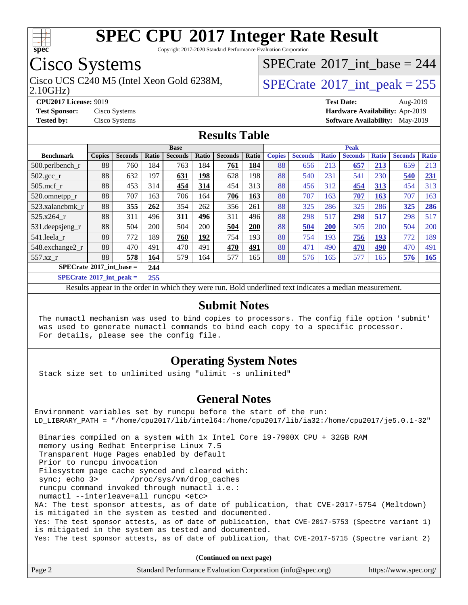

Copyright 2017-2020 Standard Performance Evaluation Corporation

### Cisco Systems

Cisco UCS C240 M5 (Intel Xeon Gold 6238M,  $SPECrate@2017\_int\_peak = 255$  $SPECrate@2017\_int\_peak = 255$ 

 $SPECrate$ <sup>®</sup>[2017\\_int\\_base =](http://www.spec.org/auto/cpu2017/Docs/result-fields.html#SPECrate2017intbase) 244

2.10GHz)

**[CPU2017 License:](http://www.spec.org/auto/cpu2017/Docs/result-fields.html#CPU2017License)** 9019 **[Test Date:](http://www.spec.org/auto/cpu2017/Docs/result-fields.html#TestDate)** Aug-2019 **[Test Sponsor:](http://www.spec.org/auto/cpu2017/Docs/result-fields.html#TestSponsor)** Cisco Systems **[Hardware Availability:](http://www.spec.org/auto/cpu2017/Docs/result-fields.html#HardwareAvailability)** Apr-2019 **[Tested by:](http://www.spec.org/auto/cpu2017/Docs/result-fields.html#Testedby)** Cisco Systems **[Software Availability:](http://www.spec.org/auto/cpu2017/Docs/result-fields.html#SoftwareAvailability)** May-2019

#### **[Results Table](http://www.spec.org/auto/cpu2017/Docs/result-fields.html#ResultsTable)**

|                                                                                                     | <b>Base</b>   |                |         |                |            | <b>Peak</b>    |       |               |                |              |                |              |                |              |
|-----------------------------------------------------------------------------------------------------|---------------|----------------|---------|----------------|------------|----------------|-------|---------------|----------------|--------------|----------------|--------------|----------------|--------------|
| <b>Benchmark</b>                                                                                    | <b>Copies</b> | <b>Seconds</b> | Ratio   | <b>Seconds</b> | Ratio      | <b>Seconds</b> | Ratio | <b>Copies</b> | <b>Seconds</b> | <b>Ratio</b> | <b>Seconds</b> | <b>Ratio</b> | <b>Seconds</b> | <b>Ratio</b> |
| 500.perlbench_r                                                                                     | 88            | 760            | 184     | 763            | 184        | 761            | 184   | 88            | 656            | 213          | 657            | 213          | 659            | 213          |
| 502.gcc_r                                                                                           | 88            | 632            | 197     | 631            | 198        | 628            | 198   | 88            | 540            | 231          | 541            | 230          | 540            | 231          |
| $505$ .mcf r                                                                                        | 88            | 453            | 314     | 454            | 314        | 454            | 313   | 88            | 456            | 312          | 454            | 313          | 454            | 313          |
| 520.omnetpp_r                                                                                       | 88            | 707            | 163     | 706            | 164        | 706            | 163   | 88            | 707            | 163          | 707            | 163          | 707            | 163          |
| 523.xalancbmk r                                                                                     | 88            | 355            | 262     | 354            | 262        | 356            | 261   | 88            | 325            | 286          | 325            | 286          | 325            | 286          |
| 525.x264 r                                                                                          | 88            | 311            | 496     | 311            | 496        | 311            | 496   | 88            | 298            | 517          | 298            | 517          | 298            | 517          |
| $531.$ deepsjeng $_r$                                                                               | 88            | 504            | 200     | 504            | 200        | 504            | 200   | 88            | 504            | <b>200</b>   | 505            | 200          | 504            | 200          |
| 541.leela r                                                                                         | 88            | 772            | 189     | 760            | <u>192</u> | 754            | 193   | 88            | 754            | 193          | 756            | <u> 193</u>  | 772            | 189          |
| 548.exchange2_r                                                                                     | 88            | 470            | 491     | 470            | 491        | 470            | 491   | 88            | 471            | 490          | 470            | 490          | 470            | 491          |
| 557.xz r                                                                                            | 88            | 578            | 164     | 579            | 164        | 577            | 165   | 88            | 576            | 165          | 577            | 165          | 576            | 165          |
| $SPECrate^{\circ}2017$ int base =                                                                   |               |                | 244     |                |            |                |       |               |                |              |                |              |                |              |
| $C1$ $A0$ $A0$ $A1$ $A2$ $A3$ $A4$ $A5$ $A6$ $A7$ $A8$ $A9$ $A1$ $A1$ $A2$ $A3$ $A1$ $A2$ $A3$ $A1$ |               |                | $- - -$ |                |            |                |       |               |                |              |                |              |                |              |

**[SPECrate](http://www.spec.org/auto/cpu2017/Docs/result-fields.html#SPECrate2017intpeak)[2017\\_int\\_peak =](http://www.spec.org/auto/cpu2017/Docs/result-fields.html#SPECrate2017intpeak) 255**

Results appear in the [order in which they were run](http://www.spec.org/auto/cpu2017/Docs/result-fields.html#RunOrder). Bold underlined text [indicates a median measurement](http://www.spec.org/auto/cpu2017/Docs/result-fields.html#Median).

#### **[Submit Notes](http://www.spec.org/auto/cpu2017/Docs/result-fields.html#SubmitNotes)**

 The numactl mechanism was used to bind copies to processors. The config file option 'submit' was used to generate numactl commands to bind each copy to a specific processor. For details, please see the config file.

#### **[Operating System Notes](http://www.spec.org/auto/cpu2017/Docs/result-fields.html#OperatingSystemNotes)**

Stack size set to unlimited using "ulimit -s unlimited"

#### **[General Notes](http://www.spec.org/auto/cpu2017/Docs/result-fields.html#GeneralNotes)**

Environment variables set by runcpu before the start of the run: LD\_LIBRARY\_PATH = "/home/cpu2017/lib/intel64:/home/cpu2017/lib/ia32:/home/cpu2017/je5.0.1-32" Binaries compiled on a system with 1x Intel Core i9-7900X CPU + 32GB RAM memory using Redhat Enterprise Linux 7.5 Transparent Huge Pages enabled by default Prior to runcpu invocation Filesystem page cache synced and cleared with: sync; echo 3> /proc/sys/vm/drop\_caches runcpu command invoked through numactl i.e.: numactl --interleave=all runcpu <etc> NA: The test sponsor attests, as of date of publication, that CVE-2017-5754 (Meltdown) is mitigated in the system as tested and documented. Yes: The test sponsor attests, as of date of publication, that CVE-2017-5753 (Spectre variant 1) is mitigated in the system as tested and documented. Yes: The test sponsor attests, as of date of publication, that CVE-2017-5715 (Spectre variant 2)

**(Continued on next page)**

| Page 2<br>Standard Performance Evaluation Corporation (info@spec.org) | https://www.spec.org/ |
|-----------------------------------------------------------------------|-----------------------|
|-----------------------------------------------------------------------|-----------------------|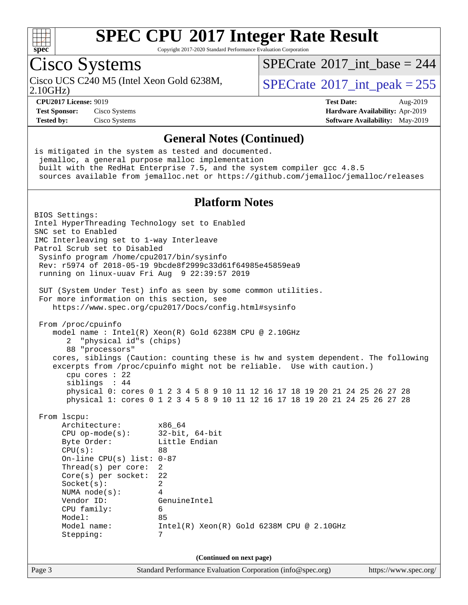

Copyright 2017-2020 Standard Performance Evaluation Corporation

### Cisco Systems

2.10GHz)

 $SPECrate$ <sup>®</sup>[2017\\_int\\_base =](http://www.spec.org/auto/cpu2017/Docs/result-fields.html#SPECrate2017intbase) 244

Cisco UCS C240 M5 (Intel Xeon Gold 6238M,  $SPECTate^{\circ}2017$  int peak = 255

**[Test Sponsor:](http://www.spec.org/auto/cpu2017/Docs/result-fields.html#TestSponsor)** Cisco Systems **[Hardware Availability:](http://www.spec.org/auto/cpu2017/Docs/result-fields.html#HardwareAvailability)** Apr-2019

**[CPU2017 License:](http://www.spec.org/auto/cpu2017/Docs/result-fields.html#CPU2017License)** 9019 **[Test Date:](http://www.spec.org/auto/cpu2017/Docs/result-fields.html#TestDate)** Aug-2019 **[Tested by:](http://www.spec.org/auto/cpu2017/Docs/result-fields.html#Testedby)** Cisco Systems **[Software Availability:](http://www.spec.org/auto/cpu2017/Docs/result-fields.html#SoftwareAvailability)** May-2019

#### **[General Notes \(Continued\)](http://www.spec.org/auto/cpu2017/Docs/result-fields.html#GeneralNotes)**

is mitigated in the system as tested and documented. jemalloc, a general purpose malloc implementation built with the RedHat Enterprise 7.5, and the system compiler gcc 4.8.5 sources available from jemalloc.net or <https://github.com/jemalloc/jemalloc/releases> **[Platform Notes](http://www.spec.org/auto/cpu2017/Docs/result-fields.html#PlatformNotes)** BIOS Settings: Intel HyperThreading Technology set to Enabled SNC set to Enabled IMC Interleaving set to 1-way Interleave Patrol Scrub set to Disabled Sysinfo program /home/cpu2017/bin/sysinfo Rev: r5974 of 2018-05-19 9bcde8f2999c33d61f64985e45859ea9 running on linux-uuav Fri Aug 9 22:39:57 2019 SUT (System Under Test) info as seen by some common utilities. For more information on this section, see <https://www.spec.org/cpu2017/Docs/config.html#sysinfo> From /proc/cpuinfo model name : Intel(R) Xeon(R) Gold 6238M CPU @ 2.10GHz 2 "physical id"s (chips) 88 "processors" cores, siblings (Caution: counting these is hw and system dependent. The following excerpts from /proc/cpuinfo might not be reliable. Use with caution.) cpu cores : 22 siblings : 44 physical 0: cores 0 1 2 3 4 5 8 9 10 11 12 16 17 18 19 20 21 24 25 26 27 28 physical 1: cores 0 1 2 3 4 5 8 9 10 11 12 16 17 18 19 20 21 24 25 26 27 28 From lscpu: Architecture: x86\_64 CPU op-mode(s): 32-bit, 64-bit Byte Order: Little Endian  $CPU(s):$  88 On-line CPU(s) list: 0-87 Thread(s) per core: 2 Core(s) per socket: 22 Socket(s): 2 NUMA node(s): 4 Vendor ID: GenuineIntel CPU family: 6 Model: 85 Model name: Intel(R) Xeon(R) Gold 6238M CPU @ 2.10GHz Stepping: 7 **(Continued on next page)**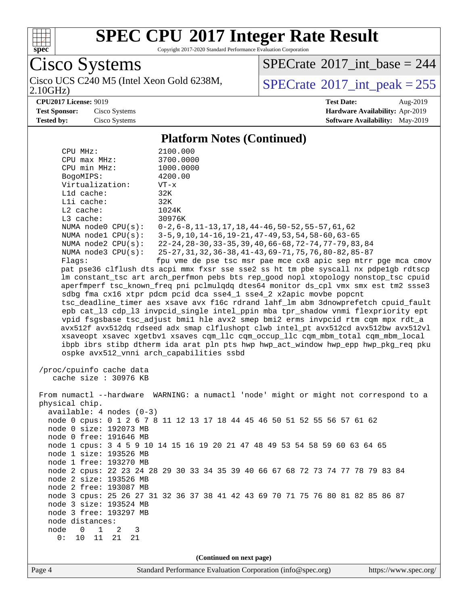

Copyright 2017-2020 Standard Performance Evaluation Corporation

Cisco Systems 2.10GHz)

 $SPECrate$ <sup>®</sup>[2017\\_int\\_base =](http://www.spec.org/auto/cpu2017/Docs/result-fields.html#SPECrate2017intbase) 244

Cisco UCS C240 M5 (Intel Xeon Gold 6238M,  $SPECrate^{\circ}2017\_int\_peak = 255$  $SPECrate^{\circ}2017\_int\_peak = 255$ 

**[CPU2017 License:](http://www.spec.org/auto/cpu2017/Docs/result-fields.html#CPU2017License)** 9019 **[Test Date:](http://www.spec.org/auto/cpu2017/Docs/result-fields.html#TestDate)** Aug-2019 **[Test Sponsor:](http://www.spec.org/auto/cpu2017/Docs/result-fields.html#TestSponsor)** Cisco Systems **[Hardware Availability:](http://www.spec.org/auto/cpu2017/Docs/result-fields.html#HardwareAvailability)** Apr-2019 **[Tested by:](http://www.spec.org/auto/cpu2017/Docs/result-fields.html#Testedby)** Cisco Systems **[Software Availability:](http://www.spec.org/auto/cpu2017/Docs/result-fields.html#SoftwareAvailability)** May-2019

#### **[Platform Notes \(Continued\)](http://www.spec.org/auto/cpu2017/Docs/result-fields.html#PlatformNotes)**

| CPU MHz:                                        | 2100.000                                                                             |  |  |  |  |
|-------------------------------------------------|--------------------------------------------------------------------------------------|--|--|--|--|
| $CPU$ $max$ $MHz$ :                             | 3700.0000                                                                            |  |  |  |  |
| CPU min MHz:                                    | 1000.0000                                                                            |  |  |  |  |
| BogoMIPS:                                       | 4200.00                                                                              |  |  |  |  |
| Virtualization:                                 | $VT - x$                                                                             |  |  |  |  |
| L1d cache:                                      | 32K                                                                                  |  |  |  |  |
| Lli cache:                                      | 32K                                                                                  |  |  |  |  |
| L2 cache:                                       | 1024K                                                                                |  |  |  |  |
| L3 cache:                                       | 30976K                                                                               |  |  |  |  |
| NUMA node0 CPU(s):                              | $0-2, 6-8, 11-13, 17, 18, 44-46, 50-52, 55-57, 61, 62$                               |  |  |  |  |
| NUMA nodel CPU(s):                              | 3-5, 9, 10, 14-16, 19-21, 47-49, 53, 54, 58-60, 63-65                                |  |  |  |  |
| NUMA $node2$ $CPU(s):$                          | 22-24, 28-30, 33-35, 39, 40, 66-68, 72-74, 77-79, 83, 84                             |  |  |  |  |
| NUMA $node3$ $CPU(s):$                          | 25-27, 31, 32, 36-38, 41-43, 69-71, 75, 76, 80-82, 85-87                             |  |  |  |  |
| Flaqs:                                          | fpu vme de pse tsc msr pae mce cx8 apic sep mtrr pge mca cmov                        |  |  |  |  |
|                                                 | pat pse36 clflush dts acpi mmx fxsr sse sse2 ss ht tm pbe syscall nx pdpelgb rdtscp  |  |  |  |  |
|                                                 | lm constant_tsc art arch_perfmon pebs bts rep_good nopl xtopology nonstop_tsc cpuid  |  |  |  |  |
|                                                 | aperfmperf tsc_known_freq pni pclmulqdq dtes64 monitor ds_cpl vmx smx est tm2 ssse3  |  |  |  |  |
|                                                 | sdbg fma cx16 xtpr pdcm pcid dca sse4_1 sse4_2 x2apic movbe popcnt                   |  |  |  |  |
|                                                 | tsc_deadline_timer aes xsave avx f16c rdrand lahf_lm abm 3dnowprefetch cpuid_fault   |  |  |  |  |
|                                                 | epb cat_13 cdp_13 invpcid_single intel_ppin mba tpr_shadow vnmi flexpriority ept     |  |  |  |  |
|                                                 | vpid fsgsbase tsc_adjust bmil hle avx2 smep bmi2 erms invpcid rtm cqm mpx rdt_a      |  |  |  |  |
|                                                 | avx512f avx512dq rdseed adx smap clflushopt clwb intel_pt avx512cd avx512bw avx512vl |  |  |  |  |
|                                                 | xsaveopt xsavec xgetbvl xsaves cqm_llc cqm_occup_llc cqm_mbm_total cqm_mbm_local     |  |  |  |  |
|                                                 | ibpb ibrs stibp dtherm ida arat pln pts hwp hwp_act_window hwp_epp hwp_pkg_req pku   |  |  |  |  |
|                                                 | ospke avx512_vnni arch_capabilities ssbd                                             |  |  |  |  |
|                                                 |                                                                                      |  |  |  |  |
| /proc/cpuinfo cache data                        |                                                                                      |  |  |  |  |
| cache size : 30976 KB                           |                                                                                      |  |  |  |  |
|                                                 |                                                                                      |  |  |  |  |
|                                                 | From numactl --hardware WARNING: a numactl 'node' might or might not correspond to a |  |  |  |  |
| physical chip.                                  |                                                                                      |  |  |  |  |
| $available: 4 nodes (0-3)$                      |                                                                                      |  |  |  |  |
|                                                 | node 0 cpus: 0 1 2 6 7 8 11 12 13 17 18 44 45 46 50 51 52 55 56 57 61 62             |  |  |  |  |
| node 0 size: 192073 MB                          |                                                                                      |  |  |  |  |
| node 0 free: 191646 MB                          |                                                                                      |  |  |  |  |
|                                                 | node 1 cpus: 3 4 5 9 10 14 15 16 19 20 21 47 48 49 53 54 58 59 60 63 64 65           |  |  |  |  |
| node 1 size: 193526 MB                          |                                                                                      |  |  |  |  |
| node 1 free: 193270 MB                          |                                                                                      |  |  |  |  |
|                                                 | node 2 cpus: 22 23 24 28 29 30 33 34 35 39 40 66 67 68 72 73 74 77 78 79 83 84       |  |  |  |  |
| node 2 size: 193526 MB                          |                                                                                      |  |  |  |  |
| node 2 free: 193087 MB                          |                                                                                      |  |  |  |  |
| node 3 size: 193524 MB                          | node 3 cpus: 25 26 27 31 32 36 37 38 41 42 43 69 70 71 75 76 80 81 82 85 86 87       |  |  |  |  |
| node 3 free: 193297 MB                          |                                                                                      |  |  |  |  |
| node distances:                                 |                                                                                      |  |  |  |  |
| node<br>$\mathbf 1$<br>$\overline{0}$<br>2<br>3 |                                                                                      |  |  |  |  |
| 0:<br>10<br>11<br>21<br>21                      |                                                                                      |  |  |  |  |
|                                                 |                                                                                      |  |  |  |  |
|                                                 |                                                                                      |  |  |  |  |
| (Continued on next page)                        |                                                                                      |  |  |  |  |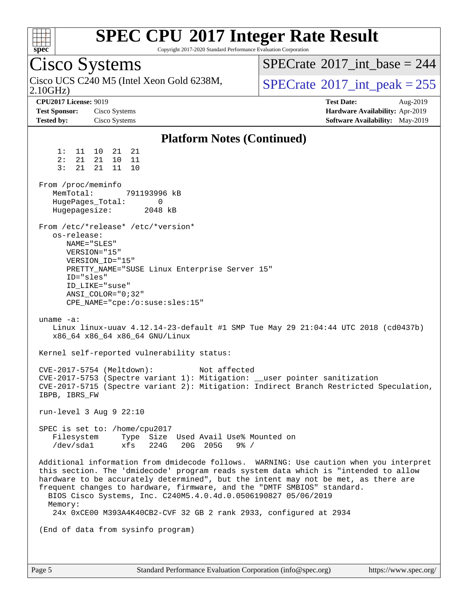| s<br>e<br>Е |  |  |  |  |  |
|-------------|--|--|--|--|--|

Copyright 2017-2020 Standard Performance Evaluation Corporation

Cisco Systems Cisco UCS C240 M5 (Intel Xeon Gold 6238M,<br>2.10GHz)  $SPECTate$ <sup>®</sup>[2017\\_int\\_peak = 2](http://www.spec.org/auto/cpu2017/Docs/result-fields.html#SPECrate2017intpeak)55 [SPECrate](http://www.spec.org/auto/cpu2017/Docs/result-fields.html#SPECrate2017intbase)<sup>®</sup>2017 int\_base = 244 **[CPU2017 License:](http://www.spec.org/auto/cpu2017/Docs/result-fields.html#CPU2017License)** 9019 **[Test Date:](http://www.spec.org/auto/cpu2017/Docs/result-fields.html#TestDate)** Aug-2019 **[Test Sponsor:](http://www.spec.org/auto/cpu2017/Docs/result-fields.html#TestSponsor)** Cisco Systems **[Hardware Availability:](http://www.spec.org/auto/cpu2017/Docs/result-fields.html#HardwareAvailability)** Apr-2019 **[Tested by:](http://www.spec.org/auto/cpu2017/Docs/result-fields.html#Testedby)** Cisco Systems **[Software Availability:](http://www.spec.org/auto/cpu2017/Docs/result-fields.html#SoftwareAvailability)** May-2019 **[Platform Notes \(Continued\)](http://www.spec.org/auto/cpu2017/Docs/result-fields.html#PlatformNotes)** 1: 11 10 21 21 2: 21 21 10 11 3: 21 21 11 10 From /proc/meminfo MemTotal: 791193996 kB HugePages\_Total: 0<br>Hugepagesize: 2048 kB Hugepagesize: From /etc/\*release\* /etc/\*version\* os-release: NAME="SLES" VERSION="15" VERSION\_ID="15" PRETTY\_NAME="SUSE Linux Enterprise Server 15" ID="sles" ID\_LIKE="suse" ANSI\_COLOR="0;32" CPE\_NAME="cpe:/o:suse:sles:15" uname -a: Linux linux-uuav 4.12.14-23-default #1 SMP Tue May 29 21:04:44 UTC 2018 (cd0437b) x86\_64 x86\_64 x86\_64 GNU/Linux Kernel self-reported vulnerability status: CVE-2017-5754 (Meltdown): Not affected CVE-2017-5753 (Spectre variant 1): Mitigation: \_\_user pointer sanitization CVE-2017-5715 (Spectre variant 2): Mitigation: Indirect Branch Restricted Speculation, IBPB, IBRS\_FW run-level 3 Aug 9 22:10 SPEC is set to: /home/cpu2017 Filesystem Type Size Used Avail Use% Mounted on /dev/sda1 xfs 224G 20G 205G 9% / Additional information from dmidecode follows. WARNING: Use caution when you interpret this section. The 'dmidecode' program reads system data which is "intended to allow hardware to be accurately determined", but the intent may not be met, as there are frequent changes to hardware, firmware, and the "DMTF SMBIOS" standard. BIOS Cisco Systems, Inc. C240M5.4.0.4d.0.0506190827 05/06/2019 Memory: 24x 0xCE00 M393A4K40CB2-CVF 32 GB 2 rank 2933, configured at 2934 (End of data from sysinfo program)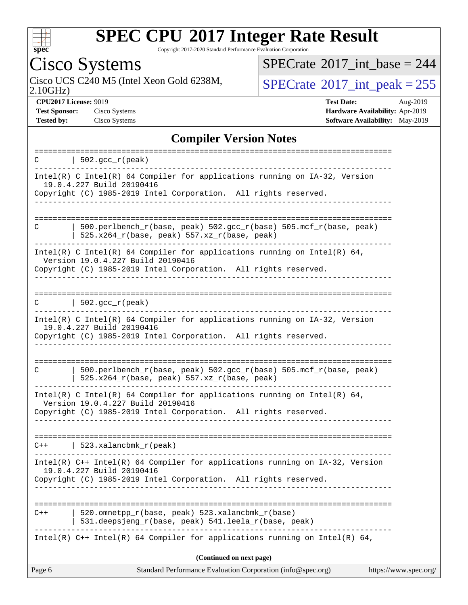

Copyright 2017-2020 Standard Performance Evaluation Corporation

### Cisco Systems

2.10GHz) Cisco UCS C240 M5 (Intel Xeon Gold 6238M,  $SPECrate^{\circ}2017\_int\_peak = 255$  $SPECrate^{\circ}2017\_int\_peak = 255$ 

 $SPECrate$ <sup>®</sup>[2017\\_int\\_base =](http://www.spec.org/auto/cpu2017/Docs/result-fields.html#SPECrate2017intbase) 244

**[Test Sponsor:](http://www.spec.org/auto/cpu2017/Docs/result-fields.html#TestSponsor)** Cisco Systems **[Hardware Availability:](http://www.spec.org/auto/cpu2017/Docs/result-fields.html#HardwareAvailability)** Apr-2019

**[CPU2017 License:](http://www.spec.org/auto/cpu2017/Docs/result-fields.html#CPU2017License)** 9019 **[Test Date:](http://www.spec.org/auto/cpu2017/Docs/result-fields.html#TestDate)** Aug-2019 **[Tested by:](http://www.spec.org/auto/cpu2017/Docs/result-fields.html#Testedby)** Cisco Systems **[Software Availability:](http://www.spec.org/auto/cpu2017/Docs/result-fields.html#SoftwareAvailability)** May-2019

#### **[Compiler Version Notes](http://www.spec.org/auto/cpu2017/Docs/result-fields.html#CompilerVersionNotes)**

| $  502.\text{sec}_r(\text{peak})$<br>C                                                                                                                                                           |  |
|--------------------------------------------------------------------------------------------------------------------------------------------------------------------------------------------------|--|
| $Intel(R)$ C Intel(R) 64 Compiler for applications running on $IA-32$ , Version<br>19.0.4.227 Build 20190416<br>Copyright (C) 1985-2019 Intel Corporation. All rights reserved.                  |  |
| $500.perlbench_r(base, peak) 502.sec_r(base) 505.mcf_r(base, peak)$<br>C<br>$525.x264_r(base, peak) 557.xz_r(base, peak)$                                                                        |  |
| Intel(R) C Intel(R) 64 Compiler for applications running on Intel(R) 64,<br>Version 19.0.4.227 Build 20190416<br>Copyright (C) 1985-2019 Intel Corporation. All rights reserved.                 |  |
| $ 502.\mathrm{gcc\_r}(\mathrm{peak}) $                                                                                                                                                           |  |
| Intel(R) C Intel(R) 64 Compiler for applications running on IA-32, Version<br>19.0.4.227 Build 20190416<br>Copyright (C) 1985-2019 Intel Corporation. All rights reserved.<br>------------------ |  |
| 500.perlbench_r(base, peak) 502.gcc_r(base) 505.mcf_r(base, peak)<br>C<br>525.x264_r(base, peak) 557.xz_r(base, peak)                                                                            |  |
| Intel(R) C Intel(R) 64 Compiler for applications running on Intel(R) 64,<br>Version 19.0.4.227 Build 20190416<br>Copyright (C) 1985-2019 Intel Corporation. All rights reserved.                 |  |
| $C++$   523.xalancbmk $r(\text{peak})$                                                                                                                                                           |  |
| Intel(R) $C++$ Intel(R) 64 Compiler for applications running on $IA-32$ , Version<br>19.0.4.227 Build 20190416<br>Copyright (C) 1985-2019 Intel Corporation. All rights reserved.                |  |
| 520.omnetpp_r(base, peak) 523.xalancbmk_r(base)<br>$C++$<br>531.deepsjeng_r(base, peak) 541.leela_r(base, peak)                                                                                  |  |
| Intel(R) $C++$ Intel(R) 64 Compiler for applications running on Intel(R) 64,                                                                                                                     |  |
| (Continued on next page)<br>https://www.spec.org/<br>Page 6<br>Standard Performance Evaluation Corporation (info@spec.org)                                                                       |  |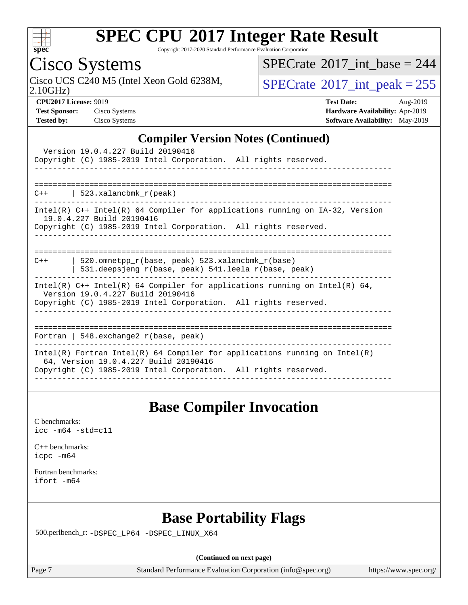

Copyright 2017-2020 Standard Performance Evaluation Corporation

### Cisco Systems

 $SPECTate$ <sup>®</sup>[2017\\_int\\_base =](http://www.spec.org/auto/cpu2017/Docs/result-fields.html#SPECrate2017intbase) 244

Cisco UCS C240 M5 (Intel Xeon Gold 6238M,  $SPECrate^{\circ}2017\_int\_peak = 255$  $SPECrate^{\circ}2017\_int\_peak = 255$ 

2.10GHz)

**[CPU2017 License:](http://www.spec.org/auto/cpu2017/Docs/result-fields.html#CPU2017License)** 9019 **[Test Date:](http://www.spec.org/auto/cpu2017/Docs/result-fields.html#TestDate)** Aug-2019 **[Test Sponsor:](http://www.spec.org/auto/cpu2017/Docs/result-fields.html#TestSponsor)** Cisco Systems **[Hardware Availability:](http://www.spec.org/auto/cpu2017/Docs/result-fields.html#HardwareAvailability)** Apr-2019 **[Tested by:](http://www.spec.org/auto/cpu2017/Docs/result-fields.html#Testedby)** Cisco Systems **[Software Availability:](http://www.spec.org/auto/cpu2017/Docs/result-fields.html#SoftwareAvailability)** May-2019

#### **[Compiler Version Notes \(Continued\)](http://www.spec.org/auto/cpu2017/Docs/result-fields.html#CompilerVersionNotes)**

| Version 19.0.4.227 Build 20190416<br>Copyright (C) 1985-2019 Intel Corporation. All rights reserved.                                                                                   |
|----------------------------------------------------------------------------------------------------------------------------------------------------------------------------------------|
| $C++$   523.xalancbmk $r(\text{peak})$                                                                                                                                                 |
| Intel(R) $C++$ Intel(R) 64 Compiler for applications running on $IA-32$ , Version<br>19.0.4.227 Build 20190416<br>Copyright (C) 1985-2019 Intel Corporation. All rights reserved.      |
| 520.omnetpp $r(base, peak)$ 523.xalancbmk $r(base)$<br>$C++$<br>531.deepsjeng_r(base, peak) 541.leela_r(base, peak)                                                                    |
| Intel(R) $C++$ Intel(R) 64 Compiler for applications running on Intel(R) 64,<br>Version 19.0.4.227 Build 20190416<br>Copyright (C) 1985-2019 Intel Corporation. All rights reserved.   |
| Fortran   548. $exchange2 r(base, peak)$                                                                                                                                               |
| Intel(R) Fortran Intel(R) 64 Compiler for applications running on Intel(R)<br>64, Version 19.0.4.227 Build 20190416<br>Copyright (C) 1985-2019 Intel Corporation. All rights reserved. |

#### **[Base Compiler Invocation](http://www.spec.org/auto/cpu2017/Docs/result-fields.html#BaseCompilerInvocation)**

[C benchmarks](http://www.spec.org/auto/cpu2017/Docs/result-fields.html#Cbenchmarks): [icc -m64 -std=c11](http://www.spec.org/cpu2017/results/res2019q3/cpu2017-20190819-16764.flags.html#user_CCbase_intel_icc_64bit_c11_33ee0cdaae7deeeab2a9725423ba97205ce30f63b9926c2519791662299b76a0318f32ddfffdc46587804de3178b4f9328c46fa7c2b0cd779d7a61945c91cd35)

[C++ benchmarks:](http://www.spec.org/auto/cpu2017/Docs/result-fields.html#CXXbenchmarks) [icpc -m64](http://www.spec.org/cpu2017/results/res2019q3/cpu2017-20190819-16764.flags.html#user_CXXbase_intel_icpc_64bit_4ecb2543ae3f1412ef961e0650ca070fec7b7afdcd6ed48761b84423119d1bf6bdf5cad15b44d48e7256388bc77273b966e5eb805aefd121eb22e9299b2ec9d9)

[Fortran benchmarks](http://www.spec.org/auto/cpu2017/Docs/result-fields.html#Fortranbenchmarks): [ifort -m64](http://www.spec.org/cpu2017/results/res2019q3/cpu2017-20190819-16764.flags.html#user_FCbase_intel_ifort_64bit_24f2bb282fbaeffd6157abe4f878425411749daecae9a33200eee2bee2fe76f3b89351d69a8130dd5949958ce389cf37ff59a95e7a40d588e8d3a57e0c3fd751)

### **[Base Portability Flags](http://www.spec.org/auto/cpu2017/Docs/result-fields.html#BasePortabilityFlags)**

500.perlbench\_r: [-DSPEC\\_LP64](http://www.spec.org/cpu2017/results/res2019q3/cpu2017-20190819-16764.flags.html#b500.perlbench_r_basePORTABILITY_DSPEC_LP64) [-DSPEC\\_LINUX\\_X64](http://www.spec.org/cpu2017/results/res2019q3/cpu2017-20190819-16764.flags.html#b500.perlbench_r_baseCPORTABILITY_DSPEC_LINUX_X64)

**(Continued on next page)**

Page 7 Standard Performance Evaluation Corporation [\(info@spec.org\)](mailto:info@spec.org) <https://www.spec.org/>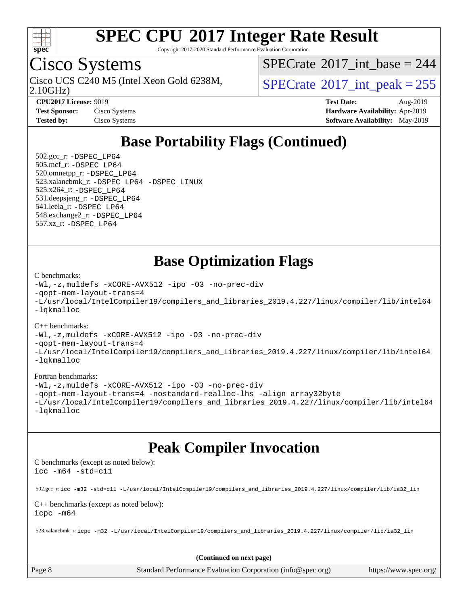

Copyright 2017-2020 Standard Performance Evaluation Corporation

### Cisco Systems

2.10GHz) Cisco UCS C240 M5 (Intel Xeon Gold 6238M,  $SPECTate^{\circ}2017$  int peak = 255

 $SPECrate$ <sup>®</sup>[2017\\_int\\_base =](http://www.spec.org/auto/cpu2017/Docs/result-fields.html#SPECrate2017intbase) 244

**[Test Sponsor:](http://www.spec.org/auto/cpu2017/Docs/result-fields.html#TestSponsor)** Cisco Systems **[Hardware Availability:](http://www.spec.org/auto/cpu2017/Docs/result-fields.html#HardwareAvailability)** Apr-2019

**[CPU2017 License:](http://www.spec.org/auto/cpu2017/Docs/result-fields.html#CPU2017License)** 9019 **[Test Date:](http://www.spec.org/auto/cpu2017/Docs/result-fields.html#TestDate)** Aug-2019 **[Tested by:](http://www.spec.org/auto/cpu2017/Docs/result-fields.html#Testedby)** Cisco Systems **[Software Availability:](http://www.spec.org/auto/cpu2017/Docs/result-fields.html#SoftwareAvailability)** May-2019

### **[Base Portability Flags \(Continued\)](http://www.spec.org/auto/cpu2017/Docs/result-fields.html#BasePortabilityFlags)**

 502.gcc\_r: [-DSPEC\\_LP64](http://www.spec.org/cpu2017/results/res2019q3/cpu2017-20190819-16764.flags.html#suite_basePORTABILITY502_gcc_r_DSPEC_LP64) 505.mcf\_r: [-DSPEC\\_LP64](http://www.spec.org/cpu2017/results/res2019q3/cpu2017-20190819-16764.flags.html#suite_basePORTABILITY505_mcf_r_DSPEC_LP64) 520.omnetpp\_r: [-DSPEC\\_LP64](http://www.spec.org/cpu2017/results/res2019q3/cpu2017-20190819-16764.flags.html#suite_basePORTABILITY520_omnetpp_r_DSPEC_LP64) 523.xalancbmk\_r: [-DSPEC\\_LP64](http://www.spec.org/cpu2017/results/res2019q3/cpu2017-20190819-16764.flags.html#suite_basePORTABILITY523_xalancbmk_r_DSPEC_LP64) [-DSPEC\\_LINUX](http://www.spec.org/cpu2017/results/res2019q3/cpu2017-20190819-16764.flags.html#b523.xalancbmk_r_baseCXXPORTABILITY_DSPEC_LINUX) 525.x264\_r: [-DSPEC\\_LP64](http://www.spec.org/cpu2017/results/res2019q3/cpu2017-20190819-16764.flags.html#suite_basePORTABILITY525_x264_r_DSPEC_LP64) 531.deepsjeng\_r: [-DSPEC\\_LP64](http://www.spec.org/cpu2017/results/res2019q3/cpu2017-20190819-16764.flags.html#suite_basePORTABILITY531_deepsjeng_r_DSPEC_LP64) 541.leela\_r: [-DSPEC\\_LP64](http://www.spec.org/cpu2017/results/res2019q3/cpu2017-20190819-16764.flags.html#suite_basePORTABILITY541_leela_r_DSPEC_LP64) 548.exchange2\_r: [-DSPEC\\_LP64](http://www.spec.org/cpu2017/results/res2019q3/cpu2017-20190819-16764.flags.html#suite_basePORTABILITY548_exchange2_r_DSPEC_LP64) 557.xz\_r: [-DSPEC\\_LP64](http://www.spec.org/cpu2017/results/res2019q3/cpu2017-20190819-16764.flags.html#suite_basePORTABILITY557_xz_r_DSPEC_LP64)

### **[Base Optimization Flags](http://www.spec.org/auto/cpu2017/Docs/result-fields.html#BaseOptimizationFlags)**

#### [C benchmarks](http://www.spec.org/auto/cpu2017/Docs/result-fields.html#Cbenchmarks):

```
-Wl,-z,muldefs -xCORE-AVX512 -ipo -O3 -no-prec-div
-qopt-mem-layout-trans=4
-L/usr/local/IntelCompiler19/compilers_and_libraries_2019.4.227/linux/compiler/lib/intel64
-lqkmalloc
```
#### [C++ benchmarks](http://www.spec.org/auto/cpu2017/Docs/result-fields.html#CXXbenchmarks):

```
-Wl,-z,muldefs -xCORE-AVX512 -ipo -O3 -no-prec-div
-qopt-mem-layout-trans=4
-L/usr/local/IntelCompiler19/compilers_and_libraries_2019.4.227/linux/compiler/lib/intel64
-lqkmalloc
```
#### [Fortran benchmarks](http://www.spec.org/auto/cpu2017/Docs/result-fields.html#Fortranbenchmarks):

```
-Wl,-z,muldefs -xCORE-AVX512 -ipo -O3 -no-prec-div
-qopt-mem-layout-trans=4 -nostandard-realloc-lhs -align array32byte
-L/usr/local/IntelCompiler19/compilers_and_libraries_2019.4.227/linux/compiler/lib/intel64
-lqkmalloc
```
#### **[Peak Compiler Invocation](http://www.spec.org/auto/cpu2017/Docs/result-fields.html#PeakCompilerInvocation)**

[C benchmarks \(except as noted below\)](http://www.spec.org/auto/cpu2017/Docs/result-fields.html#Cbenchmarksexceptasnotedbelow): [icc -m64 -std=c11](http://www.spec.org/cpu2017/results/res2019q3/cpu2017-20190819-16764.flags.html#user_CCpeak_intel_icc_64bit_c11_33ee0cdaae7deeeab2a9725423ba97205ce30f63b9926c2519791662299b76a0318f32ddfffdc46587804de3178b4f9328c46fa7c2b0cd779d7a61945c91cd35)

502.gcc\_r: [icc -m32 -std=c11 -L/usr/local/IntelCompiler19/compilers\\_and\\_libraries\\_2019.4.227/linux/compiler/lib/ia32\\_lin](http://www.spec.org/cpu2017/results/res2019q3/cpu2017-20190819-16764.flags.html#user_peakCCLD502_gcc_r_intel_icc_38a193a897536fa645efb1dc6ac2bea2bddbbe56f130e144a606d1b2649003f27c79f8814020c1f9355cbbf0d7ab0d194a7a979ee1e2a95641bbb8cf571aac7b)

#### [C++ benchmarks \(except as noted below\)](http://www.spec.org/auto/cpu2017/Docs/result-fields.html#CXXbenchmarksexceptasnotedbelow): [icpc -m64](http://www.spec.org/cpu2017/results/res2019q3/cpu2017-20190819-16764.flags.html#user_CXXpeak_intel_icpc_64bit_4ecb2543ae3f1412ef961e0650ca070fec7b7afdcd6ed48761b84423119d1bf6bdf5cad15b44d48e7256388bc77273b966e5eb805aefd121eb22e9299b2ec9d9)

523.xalancbmk\_r: [icpc -m32 -L/usr/local/IntelCompiler19/compilers\\_and\\_libraries\\_2019.4.227/linux/compiler/lib/ia32\\_lin](http://www.spec.org/cpu2017/results/res2019q3/cpu2017-20190819-16764.flags.html#user_peakCXXLD523_xalancbmk_r_intel_icpc_840f965b38320ad10acba6032d6ca4c816e722c432c250f3408feae347068ba449f694544a48cf12cd3bde3495e328e6747ab0f629c2925d3062e2ee144af951)

**(Continued on next page)**

Page 8 Standard Performance Evaluation Corporation [\(info@spec.org\)](mailto:info@spec.org) <https://www.spec.org/>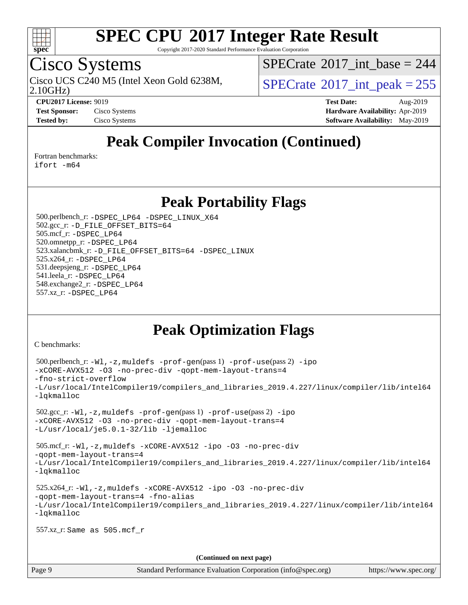

Copyright 2017-2020 Standard Performance Evaluation Corporation

### Cisco Systems

 $SPECrate$ <sup>®</sup>[2017\\_int\\_base =](http://www.spec.org/auto/cpu2017/Docs/result-fields.html#SPECrate2017intbase) 244

Cisco UCS C240 M5 (Intel Xeon Gold 6238M,  $\vert$ [SPECrate](http://www.spec.org/auto/cpu2017/Docs/result-fields.html#SPECrate2017intpeak)<sup>®</sup>[2017\\_int\\_peak = 2](http://www.spec.org/auto/cpu2017/Docs/result-fields.html#SPECrate2017intpeak)55

2.10GHz)

**[CPU2017 License:](http://www.spec.org/auto/cpu2017/Docs/result-fields.html#CPU2017License)** 9019 **[Test Date:](http://www.spec.org/auto/cpu2017/Docs/result-fields.html#TestDate)** Aug-2019 **[Test Sponsor:](http://www.spec.org/auto/cpu2017/Docs/result-fields.html#TestSponsor)** Cisco Systems **[Hardware Availability:](http://www.spec.org/auto/cpu2017/Docs/result-fields.html#HardwareAvailability)** Apr-2019 **[Tested by:](http://www.spec.org/auto/cpu2017/Docs/result-fields.html#Testedby)** Cisco Systems **Cisco Systems [Software Availability:](http://www.spec.org/auto/cpu2017/Docs/result-fields.html#SoftwareAvailability)** May-2019

### **[Peak Compiler Invocation \(Continued\)](http://www.spec.org/auto/cpu2017/Docs/result-fields.html#PeakCompilerInvocation)**

[Fortran benchmarks](http://www.spec.org/auto/cpu2017/Docs/result-fields.html#Fortranbenchmarks):

[ifort -m64](http://www.spec.org/cpu2017/results/res2019q3/cpu2017-20190819-16764.flags.html#user_FCpeak_intel_ifort_64bit_24f2bb282fbaeffd6157abe4f878425411749daecae9a33200eee2bee2fe76f3b89351d69a8130dd5949958ce389cf37ff59a95e7a40d588e8d3a57e0c3fd751)

**[Peak Portability Flags](http://www.spec.org/auto/cpu2017/Docs/result-fields.html#PeakPortabilityFlags)**

 500.perlbench\_r: [-DSPEC\\_LP64](http://www.spec.org/cpu2017/results/res2019q3/cpu2017-20190819-16764.flags.html#b500.perlbench_r_peakPORTABILITY_DSPEC_LP64) [-DSPEC\\_LINUX\\_X64](http://www.spec.org/cpu2017/results/res2019q3/cpu2017-20190819-16764.flags.html#b500.perlbench_r_peakCPORTABILITY_DSPEC_LINUX_X64) 502.gcc\_r: [-D\\_FILE\\_OFFSET\\_BITS=64](http://www.spec.org/cpu2017/results/res2019q3/cpu2017-20190819-16764.flags.html#user_peakPORTABILITY502_gcc_r_file_offset_bits_64_5ae949a99b284ddf4e95728d47cb0843d81b2eb0e18bdfe74bbf0f61d0b064f4bda2f10ea5eb90e1dcab0e84dbc592acfc5018bc955c18609f94ddb8d550002c) 505.mcf\_r: [-DSPEC\\_LP64](http://www.spec.org/cpu2017/results/res2019q3/cpu2017-20190819-16764.flags.html#suite_peakPORTABILITY505_mcf_r_DSPEC_LP64) 520.omnetpp\_r: [-DSPEC\\_LP64](http://www.spec.org/cpu2017/results/res2019q3/cpu2017-20190819-16764.flags.html#suite_peakPORTABILITY520_omnetpp_r_DSPEC_LP64) 523.xalancbmk\_r: [-D\\_FILE\\_OFFSET\\_BITS=64](http://www.spec.org/cpu2017/results/res2019q3/cpu2017-20190819-16764.flags.html#user_peakPORTABILITY523_xalancbmk_r_file_offset_bits_64_5ae949a99b284ddf4e95728d47cb0843d81b2eb0e18bdfe74bbf0f61d0b064f4bda2f10ea5eb90e1dcab0e84dbc592acfc5018bc955c18609f94ddb8d550002c) [-DSPEC\\_LINUX](http://www.spec.org/cpu2017/results/res2019q3/cpu2017-20190819-16764.flags.html#b523.xalancbmk_r_peakCXXPORTABILITY_DSPEC_LINUX) 525.x264\_r: [-DSPEC\\_LP64](http://www.spec.org/cpu2017/results/res2019q3/cpu2017-20190819-16764.flags.html#suite_peakPORTABILITY525_x264_r_DSPEC_LP64) 531.deepsjeng\_r: [-DSPEC\\_LP64](http://www.spec.org/cpu2017/results/res2019q3/cpu2017-20190819-16764.flags.html#suite_peakPORTABILITY531_deepsjeng_r_DSPEC_LP64) 541.leela\_r: [-DSPEC\\_LP64](http://www.spec.org/cpu2017/results/res2019q3/cpu2017-20190819-16764.flags.html#suite_peakPORTABILITY541_leela_r_DSPEC_LP64) 548.exchange2\_r: [-DSPEC\\_LP64](http://www.spec.org/cpu2017/results/res2019q3/cpu2017-20190819-16764.flags.html#suite_peakPORTABILITY548_exchange2_r_DSPEC_LP64) 557.xz\_r: [-DSPEC\\_LP64](http://www.spec.org/cpu2017/results/res2019q3/cpu2017-20190819-16764.flags.html#suite_peakPORTABILITY557_xz_r_DSPEC_LP64)

### **[Peak Optimization Flags](http://www.spec.org/auto/cpu2017/Docs/result-fields.html#PeakOptimizationFlags)**

[C benchmarks](http://www.spec.org/auto/cpu2017/Docs/result-fields.html#Cbenchmarks):

```
(info@spec.org)https://www.spec.org/
  500.perlbench_r: -Wl,-z,muldefs -prof-gen(pass 1) -prof-use(pass 2) -ipo
-xCORE-AVX512 -O3 -no-prec-div -qopt-mem-layout-trans=4
-fno-strict-overflow
-L/usr/local/IntelCompiler19/compilers_and_libraries_2019.4.227/linux/compiler/lib/intel64
-lqkmalloc
  502.gcc_r: -Wl,-z,muldefs -prof-gen(pass 1) -prof-use(pass 2) -ipo
-xCORE-AVX512 -O3 -no-prec-div -qopt-mem-layout-trans=4
-L/usr/local/je5.0.1-32/lib -ljemalloc
  505.mcf_r: -Wl,-z,muldefs -xCORE-AVX512 -ipo -O3 -no-prec-div
-qopt-mem-layout-trans=4
-L/usr/local/IntelCompiler19/compilers_and_libraries_2019.4.227/linux/compiler/lib/intel64
-lqkmalloc
  525.x264_r: -Wl,-z,muldefs -xCORE-AVX512 -ipo -O3 -no-prec-div
-qopt-mem-layout-trans=4 -fno-alias
-L/usr/local/IntelCompiler19/compilers_and_libraries_2019.4.227/linux/compiler/lib/intel64
-lqkmalloc
  557.xz_r: Same as 505.mcf_r
                                    (Continued on next page)
```